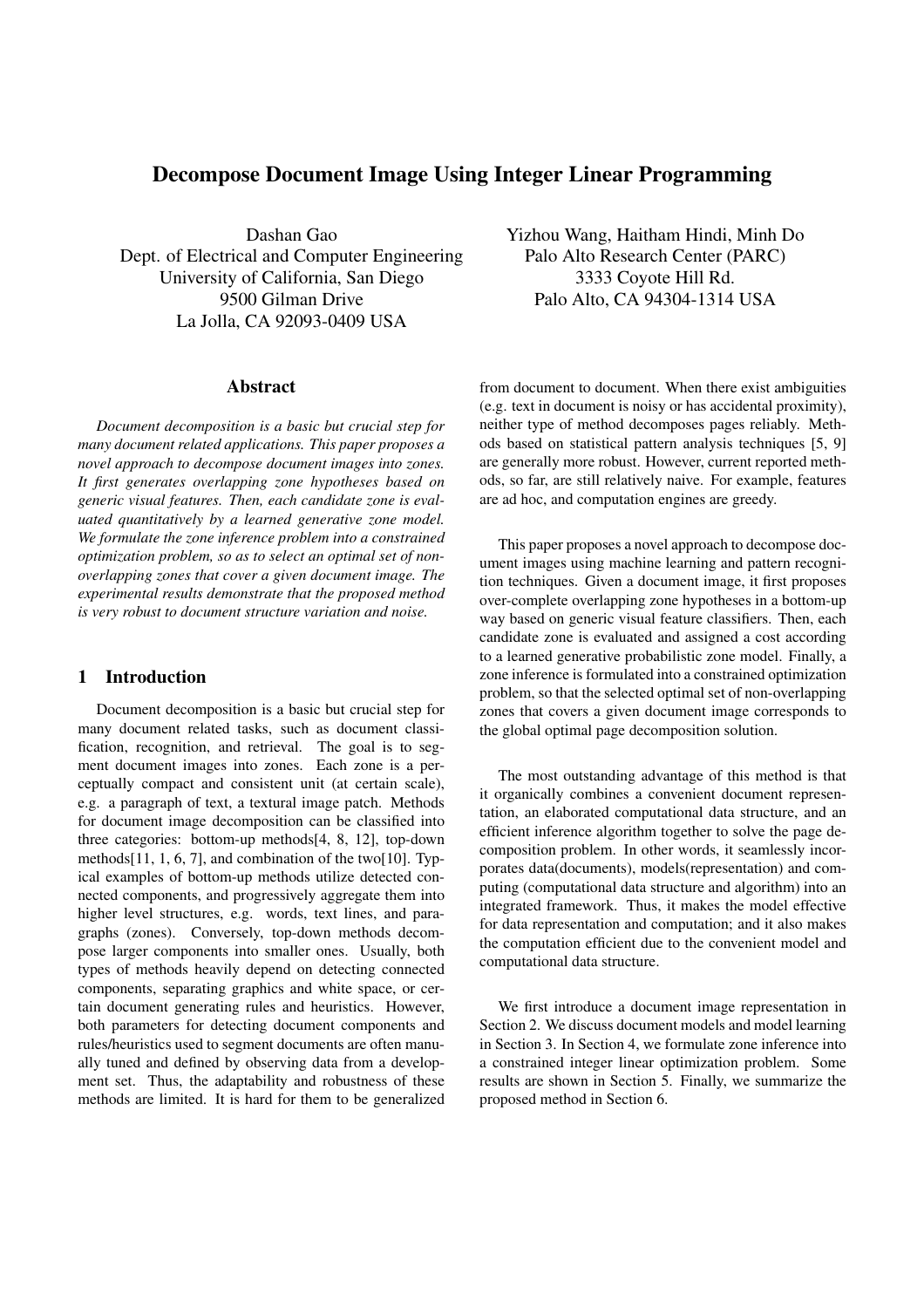# Decompose Document Image Using Integer Linear Programming

Dashan Gao Dept. of Electrical and Computer Engineering University of California, San Diego 9500 Gilman Drive La Jolla, CA 92093-0409 USA

# Abstract

*Document decomposition is a basic but crucial step for many document related applications. This paper proposes a novel approach to decompose document images into zones. It first generates overlapping zone hypotheses based on generic visual features. Then, each candidate zone is evaluated quantitatively by a learned generative zone model. We formulate the zone inference problem into a constrained optimization problem, so as to select an optimal set of nonoverlapping zones that cover a given document image. The experimental results demonstrate that the proposed method is very robust to document structure variation and noise.*

# 1 Introduction

Document decomposition is a basic but crucial step for many document related tasks, such as document classification, recognition, and retrieval. The goal is to segment document images into zones. Each zone is a perceptually compact and consistent unit (at certain scale), e.g. a paragraph of text, a textural image patch. Methods for document image decomposition can be classified into three categories: bottom-up methods[4, 8, 12], top-down methods[11, 1, 6, 7], and combination of the two[10]. Typical examples of bottom-up methods utilize detected connected components, and progressively aggregate them into higher level structures, e.g. words, text lines, and paragraphs (zones). Conversely, top-down methods decompose larger components into smaller ones. Usually, both types of methods heavily depend on detecting connected components, separating graphics and white space, or certain document generating rules and heuristics. However, both parameters for detecting document components and rules/heuristics used to segment documents are often manually tuned and defined by observing data from a development set. Thus, the adaptability and robustness of these methods are limited. It is hard for them to be generalized Yizhou Wang, Haitham Hindi, Minh Do Palo Alto Research Center (PARC) 3333 Coyote Hill Rd. Palo Alto, CA 94304-1314 USA

from document to document. When there exist ambiguities (e.g. text in document is noisy or has accidental proximity), neither type of method decomposes pages reliably. Methods based on statistical pattern analysis techniques [5, 9] are generally more robust. However, current reported methods, so far, are still relatively naive. For example, features are ad hoc, and computation engines are greedy.

This paper proposes a novel approach to decompose document images using machine learning and pattern recognition techniques. Given a document image, it first proposes over-complete overlapping zone hypotheses in a bottom-up way based on generic visual feature classifiers. Then, each candidate zone is evaluated and assigned a cost according to a learned generative probabilistic zone model. Finally, a zone inference is formulated into a constrained optimization problem, so that the selected optimal set of non-overlapping zones that covers a given document image corresponds to the global optimal page decomposition solution.

The most outstanding advantage of this method is that it organically combines a convenient document representation, an elaborated computational data structure, and an efficient inference algorithm together to solve the page decomposition problem. In other words, it seamlessly incorporates data(documents), models(representation) and computing (computational data structure and algorithm) into an integrated framework. Thus, it makes the model effective for data representation and computation; and it also makes the computation efficient due to the convenient model and computational data structure.

We first introduce a document image representation in Section 2. We discuss document models and model learning in Section 3. In Section 4, we formulate zone inference into a constrained integer linear optimization problem. Some results are shown in Section 5. Finally, we summarize the proposed method in Section 6.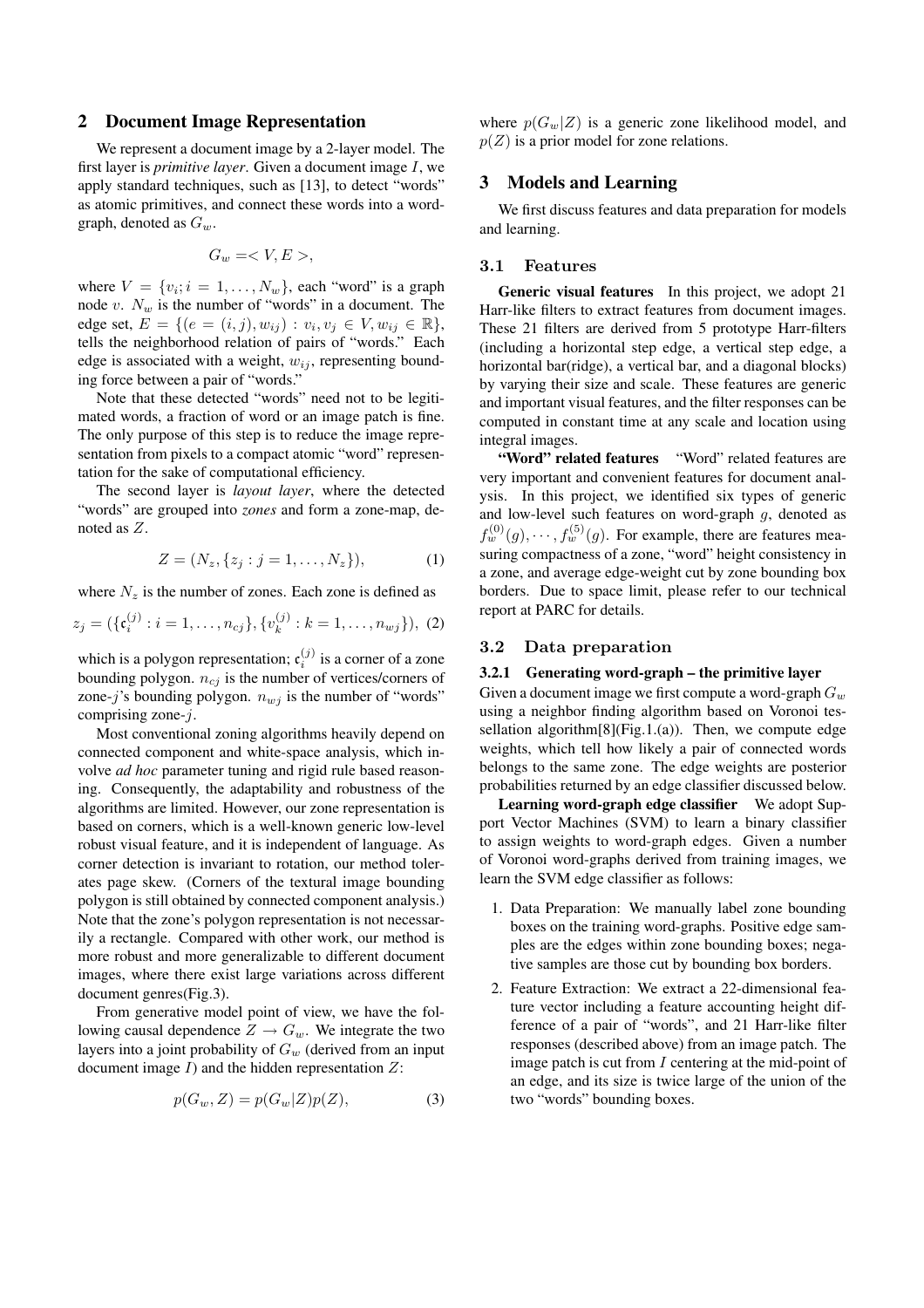# 2 Document Image Representation

We represent a document image by a 2-layer model. The first layer is *primitive layer*. Given a document image I, we apply standard techniques, such as [13], to detect "words" as atomic primitives, and connect these words into a wordgraph, denoted as  $G_w$ .

$$
G_w = ,
$$

where  $V = \{v_i; i = 1, \dots, N_w\}$ , each "word" is a graph node v.  $N_w$  is the number of "words" in a document. The edge set,  $E = \{ (e = (i, j), w_{ij}) : v_i, v_j \in V, w_{ij} \in \mathbb{R} \},\$ tells the neighborhood relation of pairs of "words." Each edge is associated with a weight,  $w_{ij}$ , representing bounding force between a pair of "words."

Note that these detected "words" need not to be legitimated words, a fraction of word or an image patch is fine. The only purpose of this step is to reduce the image representation from pixels to a compact atomic "word" representation for the sake of computational efficiency.

The second layer is *layout layer*, where the detected "words" are grouped into *zones* and form a zone-map, denoted as Z.

$$
Z = (N_z, \{z_j : j = 1, \dots, N_z\}),\tag{1}
$$

where  $N_z$  is the number of zones. Each zone is defined as

$$
z_j = (\{c_i^{(j)} : i = 1, \dots, n_{cj}\}, \{v_k^{(j)} : k = 1, \dots, n_{wj}\}), \tag{2}
$$

which is a polygon representation;  $c_i^{(j)}$  is a corner of a zone bounding polygon.  $n_{ci}$  is the number of vertices/corners of zone-j's bounding polygon.  $n_{wj}$  is the number of "words" comprising zone-j.

Most conventional zoning algorithms heavily depend on connected component and white-space analysis, which involve *ad hoc* parameter tuning and rigid rule based reasoning. Consequently, the adaptability and robustness of the algorithms are limited. However, our zone representation is based on corners, which is a well-known generic low-level robust visual feature, and it is independent of language. As corner detection is invariant to rotation, our method tolerates page skew. (Corners of the textural image bounding polygon is still obtained by connected component analysis.) Note that the zone's polygon representation is not necessarily a rectangle. Compared with other work, our method is more robust and more generalizable to different document images, where there exist large variations across different document genres(Fig.3).

From generative model point of view, we have the following causal dependence  $Z \to G_w$ . We integrate the two layers into a joint probability of  $G_w$  (derived from an input document image  $I$ ) and the hidden representation  $Z$ :

$$
p(G_w, Z) = p(G_w|Z)p(Z),\tag{3}
$$

where  $p(G_w|Z)$  is a generic zone likelihood model, and  $p(Z)$  is a prior model for zone relations.

# 3 Models and Learning

We first discuss features and data preparation for models and learning.

# 3.1 Features

Generic visual features In this project, we adopt 21 Harr-like filters to extract features from document images. These 21 filters are derived from 5 prototype Harr-filters (including a horizontal step edge, a vertical step edge, a horizontal bar(ridge), a vertical bar, and a diagonal blocks) by varying their size and scale. These features are generic and important visual features, and the filter responses can be computed in constant time at any scale and location using integral images.

"Word" related features "Word" related features are very important and convenient features for document analysis. In this project, we identified six types of generic and low-level such features on word-graph  $q$ , denoted as  $f_w^{(0)}(g), \dots, f_w^{(5)}(g)$ . For example, there are features measuring compactness of a zone, "word" height consistency in a zone, and average edge-weight cut by zone bounding box borders. Due to space limit, please refer to our technical report at PARC for details.

### 3.2 Data preparation

#### 3.2.1 Generating word-graph – the primitive layer

Given a document image we first compute a word-graph  $G_w$ using a neighbor finding algorithm based on Voronoi tessellation algorithm $[8]$ (Fig.1.(a)). Then, we compute edge weights, which tell how likely a pair of connected words belongs to the same zone. The edge weights are posterior probabilities returned by an edge classifier discussed below.

Learning word-graph edge classifier We adopt Support Vector Machines (SVM) to learn a binary classifier to assign weights to word-graph edges. Given a number of Voronoi word-graphs derived from training images, we learn the SVM edge classifier as follows:

- 1. Data Preparation: We manually label zone bounding boxes on the training word-graphs. Positive edge samples are the edges within zone bounding boxes; negative samples are those cut by bounding box borders.
- 2. Feature Extraction: We extract a 22-dimensional feature vector including a feature accounting height difference of a pair of "words", and 21 Harr-like filter responses (described above) from an image patch. The image patch is cut from  $I$  centering at the mid-point of an edge, and its size is twice large of the union of the two "words" bounding boxes.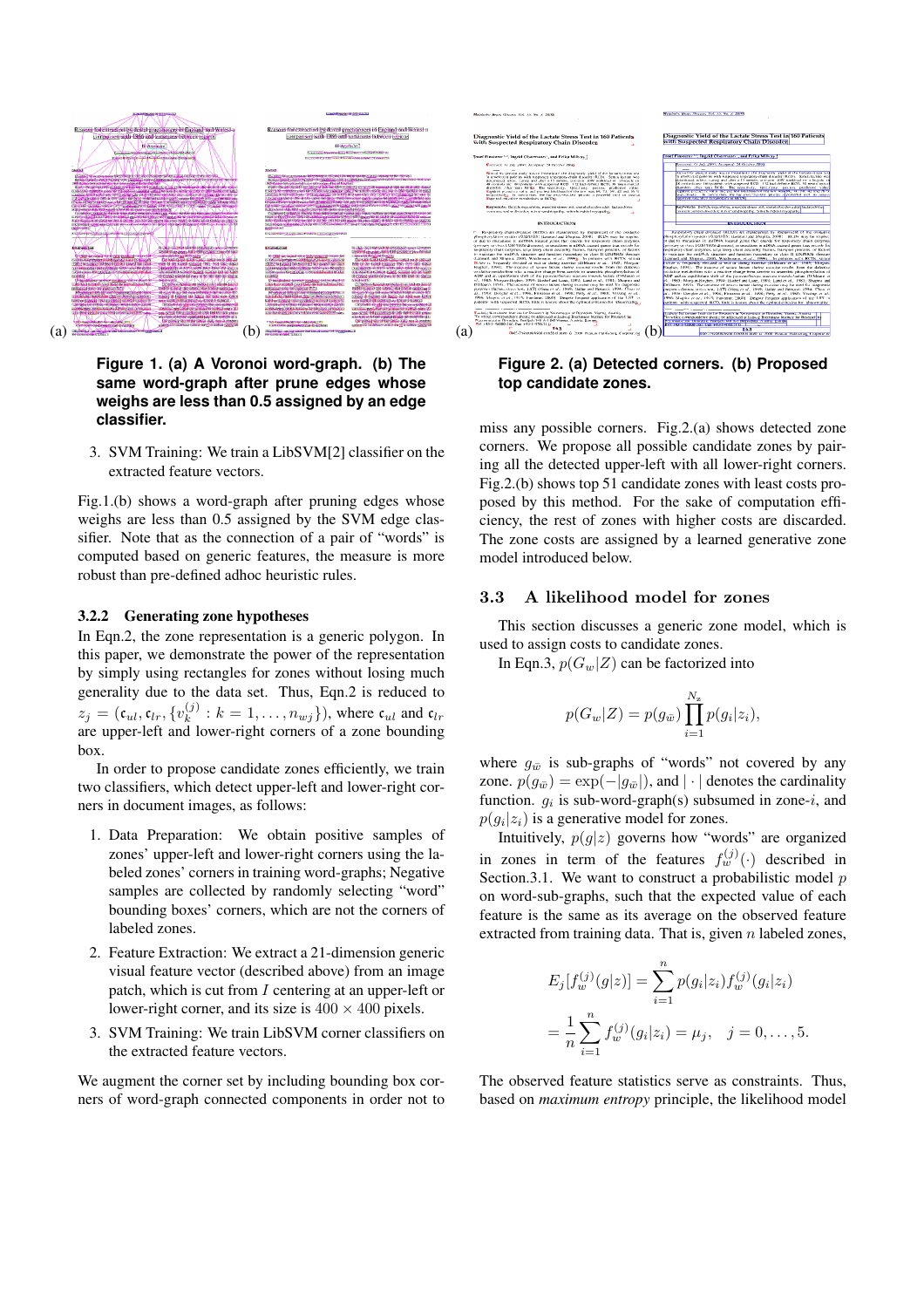

**Figure 1. (a) A Voronoi word-graph. (b) The same word-graph after prune edges whose weighs are less than 0.5 assigned by an edge classifier.**

3. SVM Training: We train a LibSVM[2] classifier on the extracted feature vectors.

Fig.1.(b) shows a word-graph after pruning edges whose weighs are less than 0.5 assigned by the SVM edge classifier. Note that as the connection of a pair of "words" is computed based on generic features, the measure is more robust than pre-defined adhoc heuristic rules.

#### 3.2.2 Generating zone hypotheses

In Eqn.2, the zone representation is a generic polygon. In this paper, we demonstrate the power of the representation by simply using rectangles for zones without losing much generality due to the data set. Thus, Eqn.2 is reduced to  $z_j=(\mathfrak{c}_{ul},\mathfrak{c}_{lr},\{v_k^{(j)}\})$  $k_k^{(j)}$  :  $k = 1, \ldots, n_{wj}$ }, where  $\mathfrak{c}_{ul}$  and  $\mathfrak{c}_{lr}$ are upper-left and lower-right corners of a zone bounding box.

In order to propose candidate zones efficiently, we train two classifiers, which detect upper-left and lower-right corners in document images, as follows:

- 1. Data Preparation: We obtain positive samples of zones' upper-left and lower-right corners using the labeled zones' corners in training word-graphs; Negative samples are collected by randomly selecting "word" bounding boxes' corners, which are not the corners of labeled zones.
- 2. Feature Extraction: We extract a 21-dimension generic visual feature vector (described above) from an image patch, which is cut from I centering at an upper-left or lower-right corner, and its size is  $400 \times 400$  pixels.
- 3. SVM Training: We train LibSVM corner classifiers on the extracted feature vectors.

We augment the corner set by including bounding box corners of word-graph connected components in order not to



**Figure 2. (a) Detected corners. (b) Proposed top candidate zones.**

miss any possible corners. Fig.2.(a) shows detected zone corners. We propose all possible candidate zones by pairing all the detected upper-left with all lower-right corners. Fig.2.(b) shows top 51 candidate zones with least costs proposed by this method. For the sake of computation efficiency, the rest of zones with higher costs are discarded. The zone costs are assigned by a learned generative zone model introduced below.

#### 3.3 A likelihood model for zones

This section discusses a generic zone model, which is used to assign costs to candidate zones.

In Eqn.3,  $p(G_w|Z)$  can be factorized into

$$
p(G_w|Z) = p(g_{\bar{w}}) \prod_{i=1}^{N_z} p(g_i|z_i),
$$

where  $g_{\overline{w}}$  is sub-graphs of "words" not covered by any zone.  $p(g_{\overline{w}}) = \exp(-|g_{\overline{w}}|)$ , and | · | denotes the cardinality function.  $g_i$  is sub-word-graph(s) subsumed in zone-*i*, and  $p(g_i|z_i)$  is a generative model for zones.

Intuitively,  $p(g|z)$  governs how "words" are organized in zones in term of the features  $f_w^{(j)}(\cdot)$  described in Section.3.1. We want to construct a probabilistic model  $p$ on word-sub-graphs, such that the expected value of each feature is the same as its average on the observed feature extracted from training data. That is, given  $n$  labeled zones,

$$
E_j[f_w^{(j)}(g|z)] = \sum_{i=1}^n p(g_i|z_i) f_w^{(j)}(g_i|z_i)
$$
  
= 
$$
\frac{1}{n} \sum_{i=1}^n f_w^{(j)}(g_i|z_i) = \mu_j, \quad j = 0, ..., 5.
$$

The observed feature statistics serve as constraints. Thus, based on *maximum entropy* principle, the likelihood model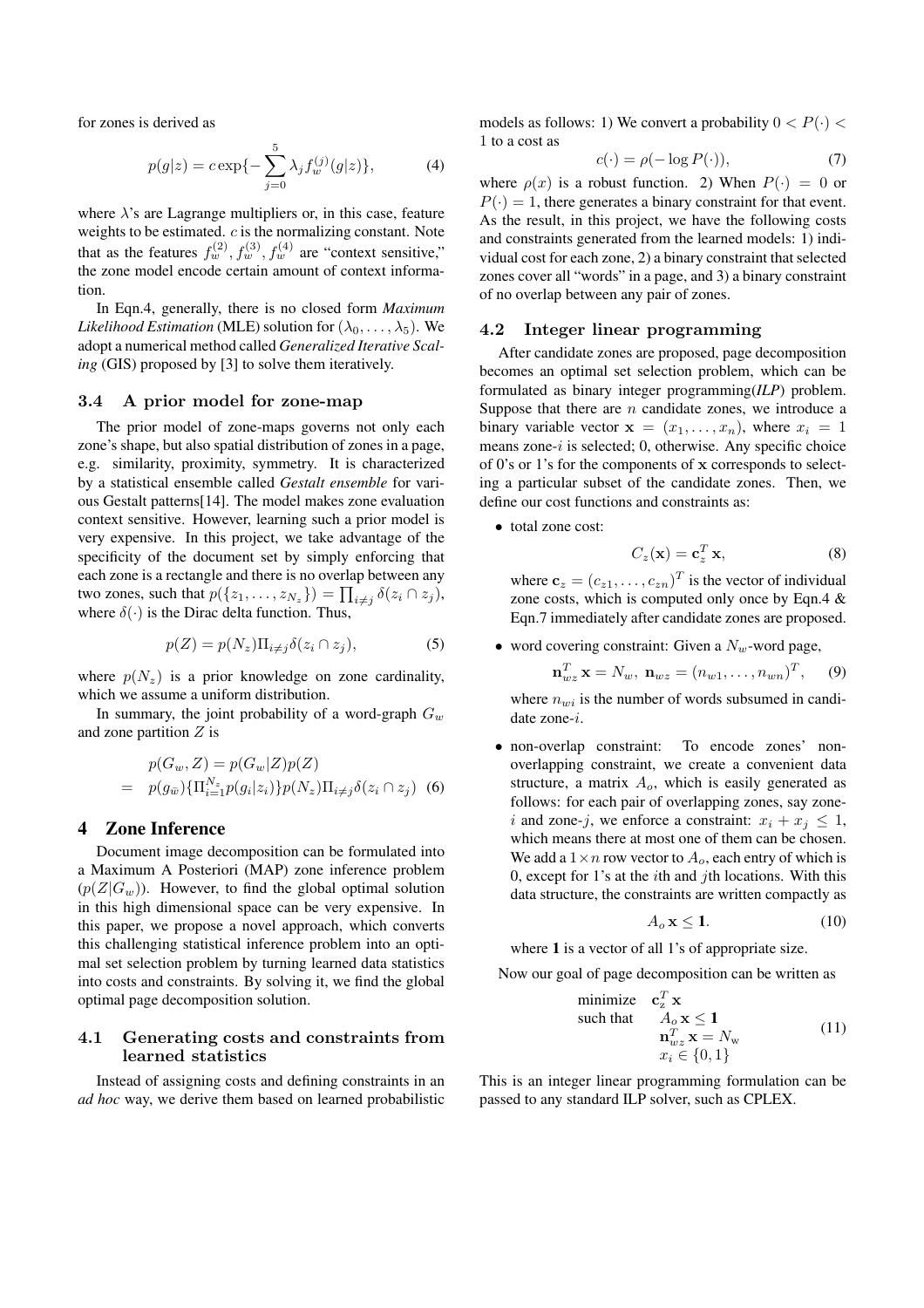for zones is derived as

$$
p(g|z) = c \exp\{-\sum_{j=0}^{5} \lambda_j f_w^{(j)}(g|z)\},\tag{4}
$$

where  $\lambda$ 's are Lagrange multipliers or, in this case, feature weights to be estimated. c is the normalizing constant. Note that as the features  $f_w^{(2)}$ ,  $f_w^{(3)}$ ,  $f_w^{(4)}$  are "context sensitive," the zone model encode certain amount of context information.

In Eqn.4, generally, there is no closed form *Maximum Likelihood Estimation* (MLE) solution for  $(\lambda_0, \dots, \lambda_5)$ . We adopt a numerical method called *Generalized Iterative Scaling* (GIS) proposed by [3] to solve them iteratively.

# 3.4 A prior model for zone-map

The prior model of zone-maps governs not only each zone's shape, but also spatial distribution of zones in a page, e.g. similarity, proximity, symmetry. It is characterized by a statistical ensemble called *Gestalt ensemble* for various Gestalt patterns[14]. The model makes zone evaluation context sensitive. However, learning such a prior model is very expensive. In this project, we take advantage of the specificity of the document set by simply enforcing that each zone is a rectangle and there is no overlap between any each zone is a rectangle and there is no overlap between any<br>two zones, such that  $p({z_1, ..., z_{N_z}}) = \prod_{i \neq j} \delta(z_i \cap z_j)$ , where  $\delta(\cdot)$  is the Dirac delta function. Thus,

$$
p(Z) = p(N_z) \Pi_{i \neq j} \delta(z_i \cap z_j), \tag{5}
$$

where  $p(N_z)$  is a prior knowledge on zone cardinality, which we assume a uniform distribution.

In summary, the joint probability of a word-graph  $G_w$ and zone partition  $Z$  is

$$
p(G_w, Z) = p(G_w|Z)p(Z)
$$
  
=  $p(g_{\bar{w}})\{\Pi_{i=1}^{N_z}p(g_i|z_i)\}p(N_z)\Pi_{i \neq j}\delta(z_i \cap z_j)$  (6)

# 4 Zone Inference

Document image decomposition can be formulated into a Maximum A Posteriori (MAP) zone inference problem  $(p(Z|G_w))$ . However, to find the global optimal solution in this high dimensional space can be very expensive. In this paper, we propose a novel approach, which converts this challenging statistical inference problem into an optimal set selection problem by turning learned data statistics into costs and constraints. By solving it, we find the global optimal page decomposition solution.

# 4.1 Generating costs and constraints from learned statistics

Instead of assigning costs and defining constraints in an *ad hoc* way, we derive them based on learned probabilistic models as follows: 1) We convert a probability  $0 < P(\cdot) <$ 1 to a cost as

$$
c(\cdot) = \rho(-\log P(\cdot)),\tag{7}
$$

where  $\rho(x)$  is a robust function. 2) When  $P(\cdot) = 0$  or  $P(\cdot) = 1$ , there generates a binary constraint for that event. As the result, in this project, we have the following costs and constraints generated from the learned models: 1) individual cost for each zone, 2) a binary constraint that selected zones cover all "words" in a page, and 3) a binary constraint of no overlap between any pair of zones.

#### 4.2 Integer linear programming

After candidate zones are proposed, page decomposition becomes an optimal set selection problem, which can be formulated as binary integer programming(*ILP*) problem. Suppose that there are  $n$  candidate zones, we introduce a binary variable vector  $\mathbf{x} = (x_1, \dots, x_n)$ , where  $x_i = 1$ means zone-i is selected; 0, otherwise. Any specific choice of 0's or 1's for the components of x corresponds to selecting a particular subset of the candidate zones. Then, we define our cost functions and constraints as:

• total zone cost:

$$
C_z(\mathbf{x}) = \mathbf{c}_z^T \mathbf{x},\tag{8}
$$

where  $\mathbf{c}_z = (c_{z1}, \dots, c_{zn})^T$  is the vector of individual zone costs, which is computed only once by Eqn.4 & Eqn.7 immediately after candidate zones are proposed.

• word covering constraint: Given a  $N_w$ -word page,

$$
\mathbf{n}_{wz}^T \mathbf{x} = N_w, \; \mathbf{n}_{wz} = (n_{w1}, \dots, n_{wn})^T, \quad (9)
$$

where  $n_{wi}$  is the number of words subsumed in candidate zone-i.

• non-overlap constraint: To encode zones' nonoverlapping constraint, we create a convenient data structure, a matrix  $A<sub>o</sub>$ , which is easily generated as follows: for each pair of overlapping zones, say zonei and zone-j, we enforce a constraint:  $x_i + x_j \leq 1$ , which means there at most one of them can be chosen. We add a  $1 \times n$  row vector to  $A_0$ , each entry of which is 0, except for 1's at the *i*th and *j*th locations. With this data structure, the constraints are written compactly as

$$
A_o \mathbf{x} \le \mathbf{1}.\tag{10}
$$

where 1 is a vector of all 1's of appropriate size.

Now our goal of page decomposition can be written as

minimize 
$$
\mathbf{c}_z^T \mathbf{x}
$$
  
\nsuch that  $A_o \mathbf{x} \le \mathbf{1}$   
\n $\mathbf{n}_{wz}^T \mathbf{x} = N_w$   
\n $x_i \in \{0, 1\}$  (11)

This is an integer linear programming formulation can be passed to any standard ILP solver, such as CPLEX.